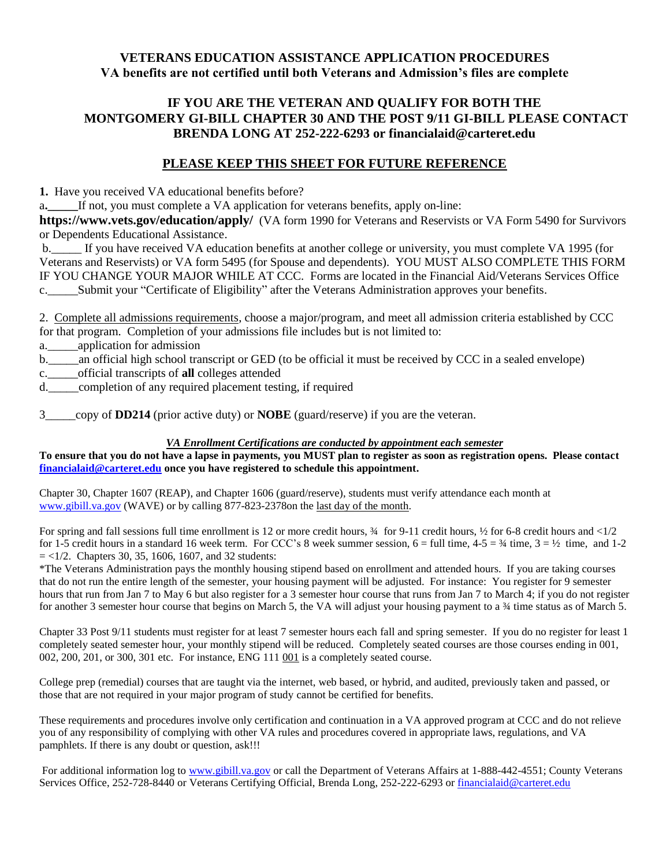# **VETERANS EDUCATION ASSISTANCE APPLICATION PROCEDURES VA benefits are not certified until both Veterans and Admission's files are complete**

# **IF YOU ARE THE VETERAN AND QUALIFY FOR BOTH THE MONTGOMERY GI-BILL CHAPTER 30 AND THE POST 9/11 GI-BILL PLEASE CONTACT BRENDA LONG AT 252-222-6293 or financialaid@carteret.edu**

### **PLEASE KEEP THIS SHEET FOR FUTURE REFERENCE**

**1.** Have you received VA educational benefits before?

a**.\_\_\_\_\_**If not, you must complete a VA application for veterans benefits, apply on-line:

**https://www.vets.gov/education/apply/** (VA form 1990 for Veterans and Reservists or VA Form 5490 for Survivors or Dependents Educational Assistance.

b.\_\_\_\_\_ If you have received VA education benefits at another college or university, you must complete VA 1995 (for Veterans and Reservists) or VA form 5495 (for Spouse and dependents). YOU MUST ALSO COMPLETE THIS FORM IF YOU CHANGE YOUR MAJOR WHILE AT CCC. Forms are located in the Financial Aid/Veterans Services Office c. Submit your "Certificate of Eligibility" after the Veterans Administration approves your benefits.

2. Complete all admissions requirements, choose a major/program, and meet all admission criteria established by CCC for that program. Completion of your admissions file includes but is not limited to:

a. application for admission

b. an official high school transcript or GED (to be official it must be received by CCC in a sealed envelope)

c.\_\_\_\_\_official transcripts of **all** colleges attended

d.\_\_\_\_\_completion of any required placement testing, if required

3\_\_\_\_\_copy of **DD214** (prior active duty) or **NOBE** (guard/reserve) if you are the veteran.

#### *VA Enrollment Certifications are conducted by appointment each semester*

**To ensure that you do not have a lapse in payments, you MUST plan to register as soon as registration opens. Please contact [financialaid@carteret.edu](mailto:financialaid@carteret.edu) once you have registered to schedule this appointment.**

Chapter 30, Chapter 1607 (REAP), and Chapter 1606 (guard/reserve), students must verify attendance each month at [www.gibill.va.gov](http://www.gibill.va.gov/) (WAVE) or by calling 877-823-2378on the last day of the month.

For spring and fall sessions full time enrollment is 12 or more credit hours,  $\frac{3}{4}$  for 9-11 credit hours,  $\frac{1}{2}$  for 6-8 credit hours and <1/2 for 1-5 credit hours in a standard 16 week term. For CCC's 8 week summer session,  $6 = \text{full time}$ ,  $4-5 = \frac{3}{4}$  time,  $3 = \frac{1}{2}$  time, and 1-2  $=$  <1/2. Chapters 30, 35, 1606, 1607, and 32 students:

\*The Veterans Administration pays the monthly housing stipend based on enrollment and attended hours. If you are taking courses that do not run the entire length of the semester, your housing payment will be adjusted. For instance: You register for 9 semester hours that run from Jan 7 to May 6 but also register for a 3 semester hour course that runs from Jan 7 to March 4; if you do not register for another 3 semester hour course that begins on March 5, the VA will adjust your housing payment to a  $\frac{3}{4}$  time status as of March 5.

Chapter 33 Post 9/11 students must register for at least 7 semester hours each fall and spring semester. If you do no register for least 1 completely seated semester hour, your monthly stipend will be reduced. Completely seated courses are those courses ending in 001, 002, 200, 201, or 300, 301 etc. For instance, ENG 111 001 is a completely seated course.

College prep (remedial) courses that are taught via the internet, web based, or hybrid, and audited, previously taken and passed, or those that are not required in your major program of study cannot be certified for benefits.

These requirements and procedures involve only certification and continuation in a VA approved program at CCC and do not relieve you of any responsibility of complying with other VA rules and procedures covered in appropriate laws, regulations, and VA pamphlets. If there is any doubt or question, ask!!!

For additional information log t[o www.gibill.va.gov](http://www.gibill.va.gov/) or call the Department of Veterans Affairs at 1-888-442-4551; County Veterans Services Office, 252-728-8440 or Veterans Certifying Official, Brenda Long, 252-222-6293 or [financialaid@carteret.edu](mailto:financialaid@carteret.edu)